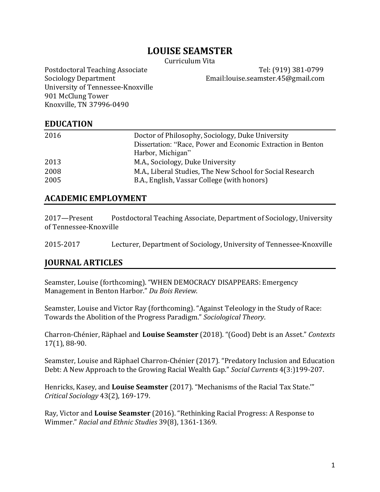# **LOUISE SEAMSTER**

Curriculum Vita 

University of Tennessee-Knoxville 901 McClung Tower Knoxville, TN 37996-0490

Postdoctoral Teaching Associate Tel: (919) 381-0799 Sociology Department **Email:louise.seamster.45@gmail.com** 

#### **EDUCATION**

| 2016 | Doctor of Philosophy, Sociology, Duke University             |
|------|--------------------------------------------------------------|
|      | Dissertation: "Race, Power and Economic Extraction in Benton |
|      | Harbor, Michigan"                                            |
| 2013 | M.A., Sociology, Duke University                             |
| 2008 | M.A., Liberal Studies, The New School for Social Research    |
| 2005 | B.A., English, Vassar College (with honors)                  |

#### **ACADEMIC EMPLOYMENT**

| 2017-Present           | Postdoctoral Teaching Associate, Department of Sociology, University |
|------------------------|----------------------------------------------------------------------|
| of Tennessee-Knoxville |                                                                      |

2015-2017 Lecturer, Department of Sociology, University of Tennessee-Knoxville

#### **JOURNAL ARTICLES**

Seamster, Louise (forthcoming). "WHEN DEMOCRACY DISAPPEARS: Emergency Management in Benton Harbor." Du Bois Review.

Seamster, Louise and Victor Ray (forthcoming). "Against Teleology in the Study of Race: Towards the Abolition of the Progress Paradigm." Sociological Theory.

Charron-Chénier, Räphael and **Louise Seamster** (2018). "(Good) Debt is an Asset." *Contexts* 17(1), 88-90.

Seamster, Louise and Räphael Charron-Chénier (2017). "Predatory Inclusion and Education Debt: A New Approach to the Growing Racial Wealth Gap." *Social Currents* 4(3:)199-207.

Henricks, Kasey, and Louise Seamster (2017). "Mechanisms of the Racial Tax State."" *Critical Sociology* 43(2), 169-179.

Ray, Victor and Louise Seamster (2016). "Rethinking Racial Progress: A Response to Wimmer." *Racial and Ethnic Studies* 39(8), 1361-1369.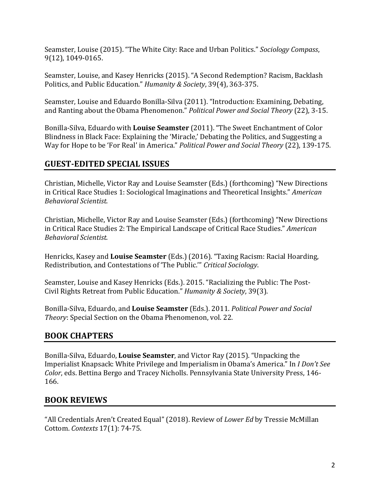Seamster, Louise (2015). "The White City: Race and Urban Politics." *Sociology Compass*, 9(12), 1049-0165.

Seamster, Louise, and Kasey Henricks (2015). "A Second Redemption? Racism, Backlash Politics, and Public Education." *Humanity & Society*, 39(4), 363-375.

Seamster, Louise and Eduardo Bonilla-Silva (2011). "Introduction: Examining, Debating, and Ranting about the Obama Phenomenon." *Political Power and Social Theory* (22), 3-15.

Bonilla-Silva, Eduardo with Louise Seamster (2011). "The Sweet Enchantment of Color Blindness in Black Face: Explaining the 'Miracle,' Debating the Politics, and Suggesting a Way for Hope to be 'For Real' in America." *Political Power and Social Theory* (22), 139-175.

### **GUEST-EDITED SPECIAL ISSUES**

Christian, Michelle, Victor Ray and Louise Seamster (Eds.) (forthcoming) "New Directions in Critical Race Studies 1: Sociological Imaginations and Theoretical Insights." *American Behavioral Scientist.*

Christian, Michelle, Victor Ray and Louise Seamster (Eds.) (forthcoming) "New Directions in Critical Race Studies 2: The Empirical Landscape of Critical Race Studies." *American Behavioral Scientist.*

Henricks, Kasey and **Louise Seamster** (Eds.) (2016). "Taxing Racism: Racial Hoarding, Redistribution, and Contestations of 'The Public.'" *Critical Sociology*.

Seamster, Louise and Kasey Henricks (Eds.). 2015. "Racializing the Public: The Post-Civil Rights Retreat from Public Education." *Humanity & Society*, 39(3).

Bonilla-Silva, Eduardo, and Louise Seamster (Eds.). 2011. *Political Power and Social Theory*: Special Section on the Obama Phenomenon, vol. 22.

# **BOOK CHAPTERS**

Bonilla-Silva, Eduardo, Louise Seamster, and Victor Ray (2015). "Unpacking the Imperialist Knapsack: White Privilege and Imperialism in Obama's America." In *I Don't See Color*, eds. Bettina Bergo and Tracey Nicholls. Pennsylvania State University Press, 146-166. 

### **BOOK REVIEWS**

"All Credentials Aren't Created Equal" (2018). Review of *Lower Ed* by Tressie McMillan Cottom. *Contexts* 17(1): 74-75.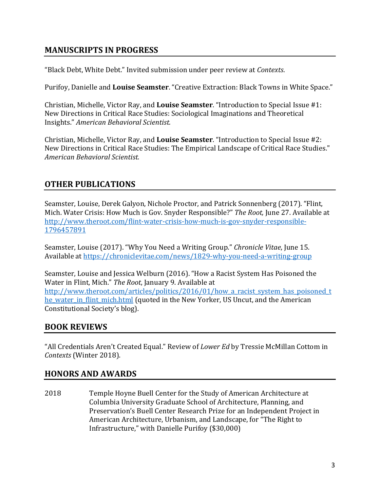# **MANUSCRIPTS IN PROGRESS**

"Black Debt, White Debt." Invited submission under peer review at *Contexts*.

Purifoy, Danielle and Louise Seamster. "Creative Extraction: Black Towns in White Space."

Christian, Michelle, Victor Ray, and Louise Seamster. "Introduction to Special Issue #1: New Directions in Critical Race Studies: Sociological Imaginations and Theoretical Insights." *American Behavioral Scientist.*

Christian, Michelle, Victor Ray, and **Louise Seamster**. "Introduction to Special Issue #2: New Directions in Critical Race Studies: The Empirical Landscape of Critical Race Studies." *American Behavioral Scientist.*

# **OTHER PUBLICATIONS**

Seamster, Louise, Derek Galyon, Nichole Proctor, and Patrick Sonnenberg (2017). "Flint, Mich. Water Crisis: How Much is Gov. Snyder Responsible?" *The Root*, June 27. Available at http://www.theroot.com/flint-water-crisis-how-much-is-gov-snyder-responsible-1796457891

Seamster, Louise (2017). "Why You Need a Writing Group." Chronicle Vitae, June 15. Available at https://chroniclevitae.com/news/1829-why-you-need-a-writing-group

Seamster, Louise and Jessica Welburn (2016). "How a Racist System Has Poisoned the Water in Flint, Mich." The Root, January 9. Available at http://www.theroot.com/articles/politics/2016/01/how a racist system has poisoned t he water in flint mich.html (quoted in the New Yorker, US Uncut, and the American Constitutional Society's blog).

# **BOOK REVIEWS**

"All Credentials Aren't Created Equal." Review of *Lower Ed* by Tressie McMillan Cottom in *Contexts* (Winter 2018).

# **HONORS AND AWARDS**

2018 Temple Hoyne Buell Center for the Study of American Architecture at Columbia University Graduate School of Architecture, Planning, and Preservation's Buell Center Research Prize for an Independent Project in American Architecture, Urbanism, and Landscape, for "The Right to Infrastructure," with Danielle Purifoy (\$30,000)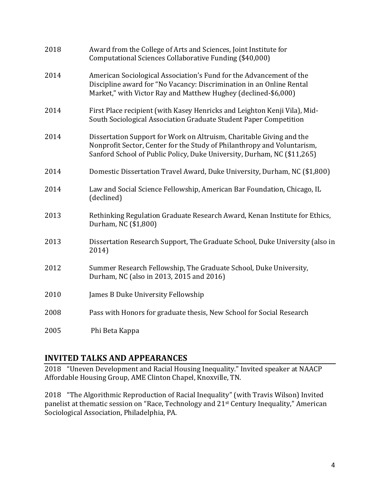| 2018 | Award from the College of Arts and Sciences, Joint Institute for<br>Computational Sciences Collaborative Funding (\$40,000)                                                                                                |
|------|----------------------------------------------------------------------------------------------------------------------------------------------------------------------------------------------------------------------------|
| 2014 | American Sociological Association's Fund for the Advancement of the<br>Discipline award for "No Vacancy: Discrimination in an Online Rental<br>Market," with Victor Ray and Matthew Hughey (declined-\$6,000)              |
| 2014 | First Place recipient (with Kasey Henricks and Leighton Kenji Vila), Mid-<br>South Sociological Association Graduate Student Paper Competition                                                                             |
| 2014 | Dissertation Support for Work on Altruism, Charitable Giving and the<br>Nonprofit Sector, Center for the Study of Philanthropy and Voluntarism,<br>Sanford School of Public Policy, Duke University, Durham, NC (\$11,265) |
| 2014 | Domestic Dissertation Travel Award, Duke University, Durham, NC (\$1,800)                                                                                                                                                  |
| 2014 | Law and Social Science Fellowship, American Bar Foundation, Chicago, IL<br>(declined)                                                                                                                                      |
| 2013 | Rethinking Regulation Graduate Research Award, Kenan Institute for Ethics,<br>Durham, NC (\$1,800)                                                                                                                         |
| 2013 | Dissertation Research Support, The Graduate School, Duke University (also in<br>2014)                                                                                                                                      |
| 2012 | Summer Research Fellowship, The Graduate School, Duke University,<br>Durham, NC (also in 2013, 2015 and 2016)                                                                                                              |
| 2010 | James B Duke University Fellowship                                                                                                                                                                                         |
| 2008 | Pass with Honors for graduate thesis, New School for Social Research                                                                                                                                                       |
| 2005 | Phi Beta Kappa                                                                                                                                                                                                             |

# **INVITED TALKS AND APPEARANCES**

2018 "Uneven Development and Racial Housing Inequality." Invited speaker at NAACP Affordable Housing Group, AME Clinton Chapel, Knoxville, TN.

2018 "The Algorithmic Reproduction of Racial Inequality" (with Travis Wilson) Invited panelist at thematic session on "Race, Technology and  $21<sup>st</sup>$  Century Inequality," American Sociological Association, Philadelphia, PA.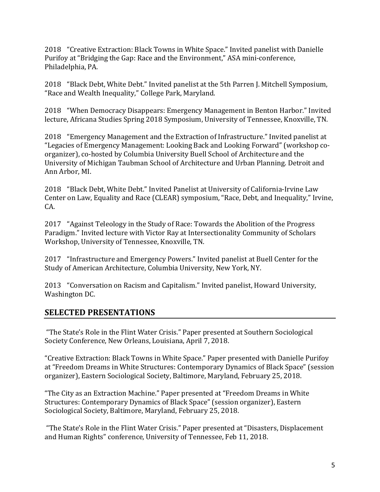2018 "Creative Extraction: Black Towns in White Space." Invited panelist with Danielle Purifoy at "Bridging the Gap: Race and the Environment," ASA mini-conference, Philadelphia, PA.

2018 "Black Debt, White Debt." Invited panelist at the 5th Parren J. Mitchell Symposium, "Race and Wealth Inequality," College Park, Maryland.

2018 "When Democracy Disappears: Emergency Management in Benton Harbor." Invited lecture, Africana Studies Spring 2018 Symposium, University of Tennessee, Knoxville, TN.

2018 "Emergency Management and the Extraction of Infrastructure." Invited panelist at "Legacies of Emergency Management: Looking Back and Looking Forward" (workshop coorganizer), co-hosted by Columbia University Buell School of Architecture and the University of Michigan Taubman School of Architecture and Urban Planning. Detroit and Ann Arbor, MI.

2018 "Black Debt, White Debt." Invited Panelist at University of California-Irvine Law Center on Law, Equality and Race (CLEAR) symposium, "Race, Debt, and Inequality," Irvine, CA.

2017 "Against Teleology in the Study of Race: Towards the Abolition of the Progress Paradigm." Invited lecture with Victor Ray at Intersectionality Community of Scholars Workshop, University of Tennessee, Knoxville, TN.

2017 "Infrastructure and Emergency Powers." Invited panelist at Buell Center for the Study of American Architecture, Columbia University, New York, NY.

2013 "Conversation on Racism and Capitalism." Invited panelist, Howard University, Washington DC.

# **SELECTED PRESENTATIONS**

"The State's Role in the Flint Water Crisis." Paper presented at Southern Sociological Society Conference, New Orleans, Louisiana, April 7, 2018.

"Creative Extraction: Black Towns in White Space." Paper presented with Danielle Purifoy at "Freedom Dreams in White Structures: Contemporary Dynamics of Black Space" (session organizer), Eastern Sociological Society, Baltimore, Maryland, February 25, 2018.

"The City as an Extraction Machine." Paper presented at "Freedom Dreams in White Structures: Contemporary Dynamics of Black Space" (session organizer), Eastern Sociological Society, Baltimore, Maryland, February 25, 2018.

"The State's Role in the Flint Water Crisis." Paper presented at "Disasters, Displacement and Human Rights" conference, University of Tennessee, Feb 11, 2018.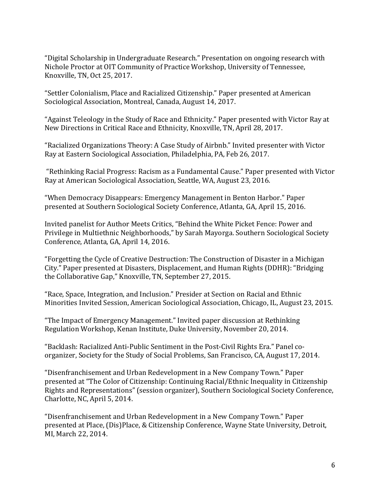"Digital Scholarship in Undergraduate Research." Presentation on ongoing research with Nichole Proctor at OIT Community of Practice Workshop, University of Tennessee, Knoxville, TN, Oct 25, 2017.

"Settler Colonialism, Place and Racialized Citizenship." Paper presented at American Sociological Association, Montreal, Canada, August 14, 2017.

"Against Teleology in the Study of Race and Ethnicity." Paper presented with Victor Ray at New Directions in Critical Race and Ethnicity, Knoxville, TN, April 28, 2017.

"Racialized Organizations Theory: A Case Study of Airbnb." Invited presenter with Victor Ray at Eastern Sociological Association, Philadelphia, PA, Feb 26, 2017.

"Rethinking Racial Progress: Racism as a Fundamental Cause." Paper presented with Victor Ray at American Sociological Association, Seattle, WA, August 23, 2016.

"When Democracy Disappears: Emergency Management in Benton Harbor." Paper presented at Southern Sociological Society Conference, Atlanta, GA, April 15, 2016.

Invited panelist for Author Meets Critics, "Behind the White Picket Fence: Power and Privilege in Multiethnic Neighborhoods," by Sarah Mayorga. Southern Sociological Society Conference, Atlanta, GA, April 14, 2016.

"Forgetting the Cycle of Creative Destruction: The Construction of Disaster in a Michigan City." Paper presented at Disasters, Displacement, and Human Rights (DDHR): "Bridging the Collaborative Gap," Knoxville, TN, September 27, 2015.

"Race, Space, Integration, and Inclusion." Presider at Section on Racial and Ethnic Minorities Invited Session, American Sociological Association, Chicago, IL, August 23, 2015.

"The Impact of Emergency Management." Invited paper discussion at Rethinking Regulation Workshop, Kenan Institute, Duke University, November 20, 2014.

"Backlash: Racialized Anti-Public Sentiment in the Post-Civil Rights Era." Panel coorganizer, Society for the Study of Social Problems, San Francisco, CA, August 17, 2014.

"Disenfranchisement and Urban Redevelopment in a New Company Town." Paper presented at "The Color of Citizenship: Continuing Racial/Ethnic Inequality in Citizenship Rights and Representations" (session organizer), Southern Sociological Society Conference, Charlotte, NC, April 5, 2014.

"Disenfranchisement and Urban Redevelopment in a New Company Town." Paper presented at Place, (Dis)Place, & Citizenship Conference, Wayne State University, Detroit, MI, March 22, 2014.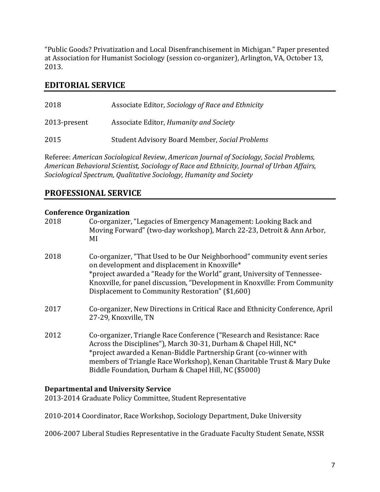"Public Goods? Privatization and Local Disenfranchisement in Michigan." Paper presented at Association for Humanist Sociology (session co-organizer), Arlington, VA, October 13, 2013. 

### **EDITORIAL SERVICE**

| 2018         | Associate Editor, Sociology of Race and Ethnicity     |
|--------------|-------------------------------------------------------|
| 2013-present | Associate Editor, Humanity and Society                |
| 2015         | <b>Student Advisory Board Member, Social Problems</b> |

Referee: American Sociological Review, American Journal of Sociology, Social Problems, American Behavioral Scientist, Sociology of Race and Ethnicity, Journal of Urban Affairs, Sociological Spectrum, Qualitative Sociology, Humanity and Society

### **PROFESSIONAL SERVICE**

#### **Conference Organization**

| Co-organizer, "Legacies of Emergency Management: Looking Back and<br>Moving Forward" (two-day workshop), March 22-23, Detroit & Ann Arbor,<br>MI                                                                                                                                                                                                  |
|---------------------------------------------------------------------------------------------------------------------------------------------------------------------------------------------------------------------------------------------------------------------------------------------------------------------------------------------------|
| Co-organizer, "That Used to be Our Neighborhood" community event series<br>on development and displacement in Knoxville*<br>*project awarded a "Ready for the World" grant, University of Tennessee-<br>Knoxville, for panel discussion, "Development in Knoxville: From Community<br>Displacement to Community Restoration" (\$1,600)            |
| Co-organizer, New Directions in Critical Race and Ethnicity Conference, April<br>27-29, Knoxville, TN                                                                                                                                                                                                                                             |
| Co-organizer, Triangle Race Conference ("Research and Resistance: Race<br>Across the Disciplines"), March 30-31, Durham & Chapel Hill, NC*<br>*project awarded a Kenan-Biddle Partnership Grant (co-winner with<br>members of Triangle Race Workshop), Kenan Charitable Trust & Mary Duke<br>Biddle Foundation, Durham & Chapel Hill, NC (\$5000) |
|                                                                                                                                                                                                                                                                                                                                                   |

#### **Departmental and University Service**

2013-2014 Graduate Policy Committee, Student Representative

2010-2014 Coordinator, Race Workshop, Sociology Department, Duke University

2006-2007 Liberal Studies Representative in the Graduate Faculty Student Senate, NSSR